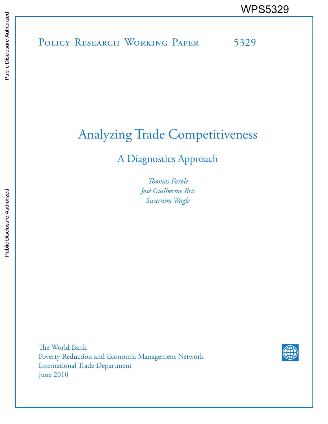# POLICY RESEARCH WORKING PAPER 5329 WPS5329<br>
Manus<br>
Manus<br>
Band<br>
Band<br>
Band<br>
Band<br>
Band<br>
Band<br>
Band<br>
Band<br>
Band<br>
Band<br>
Band<br>
Band<br>
Band<br>
Band<br>
Band<br>
Band<br>
Band<br>
Band<br>
Band<br>
Band<br>
Band<br>
Band<br>
Band<br>
Band<br>
Band<br>
Band<br>
Band<br>
Band<br>
Band<br>
Band<br>
Band<br>
Band<br>
Band<br>
B

# Analyzing Trade Competitiveness

A Diagnostics Approach

*Thomas Farole José Guilherme Reis Swarnim Wagle*

The World Bank Poverty Reduction and Economic Management Network International Trade Department June 2010

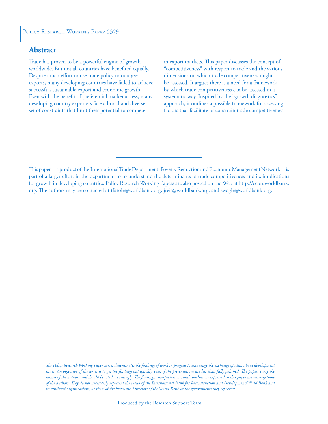# **Abstract**

Trade has proven to be a powerful engine of growth worldwide. But not all countries have benefited equally. Despite much effort to use trade policy to catalyze exports, many developing countries have failed to achieve successful, sustainable export and economic growth. Even with the benefit of preferential market access, many developing country exporters face a broad and diverse set of constraints that limit their potential to compete

in export markets. This paper discusses the concept of "competitiveness" with respect to trade and the various dimensions on which trade competitiveness might be assessed. It argues there is a need for a framework by which trade competitiveness can be assessed in a systematic way. Inspired by the "growth diagnostics" approach, it outlines a possible framework for assessing factors that facilitate or constrain trade competitiveness.

This paper—a product of the International Trade Department, Poverty Reduction and Economic Management Network—is part of a larger effort in the department to to understand the determinants of trade competitiveness and its implications for growth in developing countries. Policy Research Working Papers are also posted on the Web at http://econ.worldbank. org. The authors may be contacted at tfarole@worldbank.org, jreis@worldbank.org, and swagle@worldbank.org.

*The Policy Research Working Paper Series disseminates the findings of work in progress to encourage the exchange of ideas about development*  issues. An objective of the series is to get the findings out quickly, even if the presentations are less than fully polished. The papers carry the *names of the authors and should be cited accordingly. The findings, interpretations, and conclusions expressed in this paper are entirely those of the authors. They do not necessarily represent the views of the International Bank for Reconstruction and Development/World Bank and its affiliated organizations, or those of the Executive Directors of the World Bank or the governments they represent.*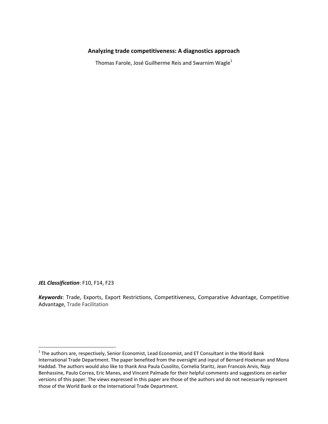# **Analyzing trade competitiveness: A diagnostics approach**

Thomas Farole, José Guilherme Reis and Swarnim Wagle<sup>1</sup>

*JEL Classification*: F10, F14, F23

*Keywords*: Trade, Exports, Export Restrictions, Competitiveness, Comparative Advantage, Competitive Advantage, Trade Facilitation

 $1$  The authors are, respectively, Senior Economist, Lead Economist, and ET Consultant in the World Bank International Trade Department. The paper benefited from the oversight and input of Bernard Hoekman and Mona Haddad. The authors would also like to thank Ana Paula Cusolito, Cornelia Staritz, Jean Francois Arvis, Najy Benhassine, Paulo Correa, Eric Manes, and Vincent Palmade for their helpful comments and suggestions on earlier versions of this paper. The views expressed in this paper are those of the authors and do not necessarily represent those of the World Bank or the International Trade Department.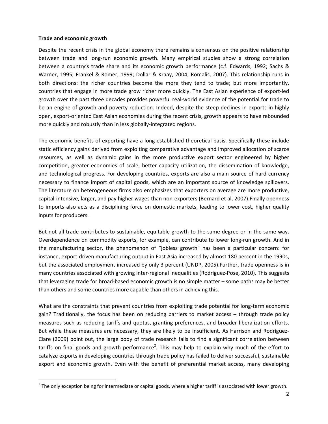#### **Trade and economic growth**

Despite the recent crisis in the global economy there remains a consensus on the positive relationship between trade and long-run economic growth. Many empirical studies show a strong correlation between a country's trade share and its economic growth performance (c.f. Edwards, 1992; Sachs & Warner, 1995; Frankel & Romer, 1999; Dollar & Kraay, 2004; Romalis, 2007). This relationship runs in both directions: the richer countries become the more they tend to trade; but more importantly, countries that engage in more trade grow richer more quickly. The East Asian experience of export‐led growth over the past three decades provides powerful real‐world evidence of the potential for trade to be an engine of growth and poverty reduction. Indeed, despite the steep declines in exports in highly open, export‐oriented East Asian economies during the recent crisis, growth appears to have rebounded more quickly and robustly than in less globally‐integrated regions.

The economic benefits of exporting have a long-established theoretical basis. Specifically these include static efficiency gains derived from exploiting comparative advantage and improved allocation of scarce resources, as well as dynamic gains in the more productive export sector engineered by higher competition, greater economies of scale, better capacity utilization, the dissemination of knowledge, and technological progress. For developing countries, exports are also a main source of hard currency necessary to finance import of capital goods, which are an important source of knowledge spillovers. The literature on heterogeneous firms also emphasizes that exporters on average are more productive, capital‐intensive, larger, and pay higher wages than non‐exporters (Bernard et al, 2007).Finally openness to imports also acts as a disciplining force on domestic markets, leading to lower cost, higher quality inputs for producers.

But not all trade contributes to sustainable, equitable growth to the same degree or in the same way. Overdependence on commodity exports, for example, can contribute to lower long‐run growth. And in the manufacturing sector, the phenomenon of "jobless growth" has been a particular concern: for instance, export-driven manufacturing output in East Asia increased by almost 180 percent in the 1990s, but the associated employment increased by only 3 percent (UNDP, 2005).Further, trade openness is in many countries associated with growing inter‐regional inequalities (Rodriguez‐Pose, 2010). This suggests that leveraging trade for broad‐based economic growth is no simple matter – some paths may be better than others and some countries more capable than others in achieving this.

What are the constraints that prevent countries from exploiting trade potential for long-term economic gain? Traditionally, the focus has been on reducing barriers to market access – through trade policy measures such as reducing tariffs and quotas, granting preferences, and broader liberalization efforts. But while these measures are necessary, they are likely to be insufficient. As Harrison and Rodríguez-Clare (2009) point out, the large body of trade research fails to find a significant correlation between tariffs on final goods and growth performance<sup>2</sup>. This may help to explain why much of the effort to catalyze exports in developing countries through trade policy has failed to deliver successful, sustainable export and economic growth. Even with the benefit of preferential market access, many developing

 $^2$  The only exception being for intermediate or capital goods, where a higher tariff is associated with lower growth.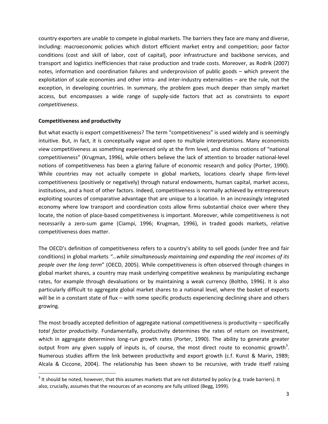country exporters are unable to compete in global markets. The barriers they face are many and diverse, including: macroeconomic policies which distort efficient market entry and competition; poor factor conditions (cost and skill of labor, cost of capital), poor infrastructure and backbone services, and transport and logistics inefficiencies that raise production and trade costs. Moreover, as Rodrik (2007) notes, information and coordination failures and underprovision of public goods – which prevent the exploitation of scale economies and other intra- and inter-industry externalities – are the rule, not the exception, in developing countries. In summary, the problem goes much deeper than simply market access, but encompasses a wide range of supply‐side factors that act as constraints to *export competitiveness*.

# **Competitiveness and productivity**

But what exactly is export competitiveness? The term "competitiveness" is used widely and is seemingly intuitive. But, in fact, it is conceptually vague and open to multiple interpretations. Many economists view competitiveness as something experienced only at the firm level, and dismiss notions of "national competitiveness" (Krugman, 1996), while others believe the lack of attention to broader national‐level notions of competitiveness has been a glaring failure of economic research and policy (Porter, 1990). While countries may not actually compete in global markets, locations clearly shape firm-level competitiveness (positively or negatively) through natural endowments, human capital, market access, institutions, and a host of other factors. Indeed, competitiveness is normally achieved by entrepreneurs exploiting sources of comparative advantage that are unique to a location. In an increasingly integrated economy where low transport and coordination costs allow firms substantial choice over where they locate, the notion of place‐based competitiveness is important. Moreover, while competitiveness is not necessarily a zero‐sum game (Ciampi, 1996; Krugman, 1996), in traded goods markets, relative competitiveness does matter.

The OECD's definition of competitiveness refers to a country's ability to sell goods (under free and fair conditions) in global markets *"…while simultaneously maintaining and expanding the real incomes of its people over the long term*" (OECD, 2005). While competitiveness is often observed through changes in global market shares, a country may mask underlying competitive weakness by manipulating exchange rates, for example through devaluations or by maintaining a weak currency (Boltho, 1996). It is also particularly difficult to aggregate global market shares to a national level, where the basket of exports will be in a constant state of flux – with some specific products experiencing declining share and others growing.

The most broadly accepted definition of aggregate national competitiveness is productivity – specifically *total factor productivity*. Fundamentally, productivity determines the rates of return on investment, which in aggregate determines long-run growth rates (Porter, 1990). The ability to generate greater output from any given supply of inputs is, of course, the most direct route to economic growth<sup>3</sup>. Numerous studies affirm the link between productivity and export growth (c.f. Kunst & Marin, 1989; Alcala & Ciccone, 2004). The relationship has been shown to be recursive, with trade itself raising

 $3$  It should be noted, however, that this assumes markets that are not distorted by policy (e.g. trade barriers). It also, crucially, assumes that the resources of an economy are fully utilized (Begg, 1999).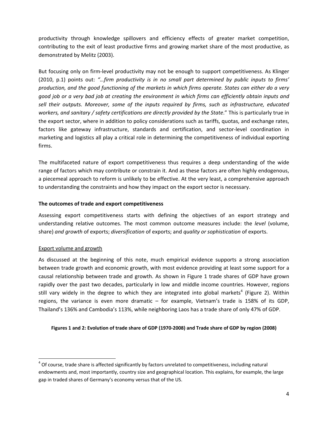productivity through knowledge spillovers and efficiency effects of greater market competition, contributing to the exit of least productive firms and growing market share of the most productive, as demonstrated by Melitz (2003).

But focusing only on firm-level productivity may not be enough to support competitiveness. As Klinger (2010, p.1) points out: *"…firm productivity is in no small part determined by public inputs to firms'* production, and the good functioning of the markets in which firms operate. States can either do a very good job or a very bad job at creating the environment in which firms can efficiently obtain inputs and *sell their outputs. Moreover, some of the inputs required by firms, such as infrastructure, educated workers, and sanitary / safety certifications are directly provided by the State*." This is particularly true in the export sector, where in addition to policy considerations such as tariffs, quotas, and exchange rates, factors like gateway infrastructure, standards and certification, and sector-level coordination in marketing and logistics all play a critical role in determining the competitiveness of individual exporting firms.

The multifaceted nature of export competitiveness thus requires a deep understanding of the wide range of factors which may contribute or constrain it. And as these factors are often highly endogenous, a piecemeal approach to reform is unlikely to be effective. At the very least, a comprehensive approach to understanding the constraints and how they impact on the export sector is necessary.

# **The outcomes of trade and export competitiveness**

Assessing export competitiveness starts with defining the objectives of an export strategy and understanding relative outcomes. The most common outcome measures include: the *level* (volume, share) *and growth* of exports; *diversification* of exports; and *quality or sophistication* of exports.

# Export volume and growth

As discussed at the beginning of this note, much empirical evidence supports a strong association between trade growth and economic growth, with most evidence providing at least some support for a causal relationship between trade and growth. As shown in Figure 1 trade shares of GDP have grown rapidly over the past two decades, particularly in low and middle income countries. However, regions still vary widely in the degree to which they are integrated into global markets<sup>4</sup> (Figure 2). Within regions, the variance is even more dramatic – for example, Vietnam's trade is 158% of its GDP, Thailand's 136% and Cambodia's 113%, while neighboring Laos has a trade share of only 47% of GDP.

# Figures 1 and 2: Evolution of trade share of GDP (1970-2008) and Trade share of GDP by region (2008)

<sup>&</sup>lt;sup>4</sup> Of course, trade share is affected significantly by factors unrelated to competitiveness, including natural endowments and, most importantly, country size and geographical location. This explains, for example, the large gap in traded shares of Germany's economy versus that of the US.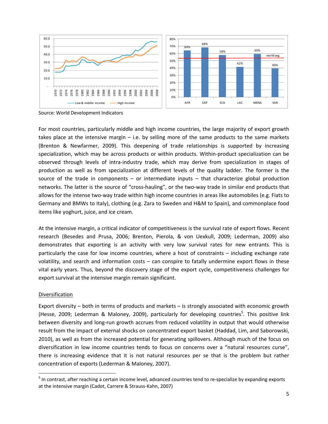

Source: World Development Indicators

For most countries, particularly middle and high income countries, the large majority of export growth takes place at the intensive margin  $-$  i.e. by selling more of the same products to the same markets (Brenton & Newfarmer, 2009). This deepening of trade relationships is supported by increasing specialization, which may be across products or within products. Within-product specialization can be observed through levels of intra‐industry trade, which may derive from specialization in stages of production as well as from specialization at different levels of the quality ladder. The former is the source of the trade in components – or intermediate inputs  $-$  that characterize global production networks. The latter is the source of "cross-hauling", or the two-way trade in similar end products that allows for the intense two‐way trade within high income countries in areas like automobiles (e.g. Fiats to Germany and BMWs to Italy), clothing (e.g. Zara to Sweden and H&M to Spain), and commonplace food items like yoghurt, juice, and ice cream.

At the intensive margin, a critical indicator of competitiveness is the survival rate of export flows. Recent research (Besedes and Prusa, 2006; Brenton, Pierola, & von Uexkull, 2009; Lederman, 2009) also demonstrates that exporting is an activity with very low survival rates for new entrants. This is particularly the case for low income countries, where a host of constraints – including exchange rate volatility, and search and information costs – can conspire to fatally undermine export flows in these vital early years. Thus, beyond the discovery stage of the export cycle, competitiveness challenges for export survival at the intensive margin remain significant.

#### **Diversification**

Export diversity – both in terms of products and markets – is strongly associated with economic growth (Hesse, 2009; Lederman & Maloney, 2009), particularly for developing countries<sup>5</sup>. This positive link between diversity and long-run growth accrues from reduced volatility in output that would otherwise result from the impact of external shocks on concentrated export basket (Haddad, Lim, and Saborowski, 2010), as well as from the increased potential for generating spillovers. Although much of the focus on diversification in low income countries tends to focus on concerns over a "natural resources curse", there is increasing evidence that it is not natural resources per se that is the problem but rather concentration of exports (Lederman & Maloney, 2007).

<sup>&</sup>lt;sup>5</sup> In contrast, after reaching a certain income level, advanced countries tend to re-specialize by expanding exports at the intensive margin (Cadot, Carrere & Strauss‐Kahn, 2007)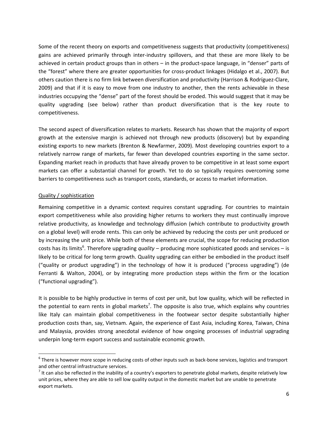Some of the recent theory on exports and competitiveness suggests that productivity (competitiveness) gains are achieved primarily through inter-industry spillovers, and that these are more likely to be achieved in certain product groups than in others – in the product‐space language, in "denser" parts of the "forest" where there are greater opportunities for cross-product linkages (Hidalgo et al., 2007). But others caution there is no firm link between diversification and productivity (Harrison & Rodríguez‐Clare, 2009) and that if it is easy to move from one industry to another, then the rents achievable in these industries occupying the "dense" part of the forest should be eroded. This would suggest that it may be quality upgrading (see below) rather than product diversification that is the key route to competitiveness.

The second aspect of diversification relates to markets. Research has shown that the majority of export growth at the extensive margin is achieved not through new products (discovery) but by expanding existing exports to new markets (Brenton & Newfarmer, 2009). Most developing countries export to a relatively narrow range of markets, far fewer than developed countries exporting in the same sector. Expanding market reach in products that have already proven to be competitive in at least some export markets can offer a substantial channel for growth. Yet to do so typically requires overcoming some barriers to competitiveness such as transport costs, standards, or access to market information.

# Quality / sophistication

Remaining competitive in a dynamic context requires constant upgrading. For countries to maintain export competitiveness while also providing higher returns to workers they must continually improve relative productivity, as knowledge and technology diffusion (which contribute to productivity growth on a global level) will erode rents. This can only be achieved by reducing the costs per unit produced or by increasing the unit price. While both of these elements are crucial, the scope for reducing production costs has its limits<sup>6</sup>. Therefore upgrading *quality* – producing more sophisticated goods and services – is likely to be critical for long term growth. Quality upgrading can either be embodied in the product itself ("quality or product upgrading") in the technology of how it is produced ("process upgrading") (de Ferranti & Walton, 2004), or by integrating more production steps within the firm or the location ("functional upgrading").

It is possible to be highly productive in terms of cost per unit, but low quality, which will be reflected in the potential to earn rents in global markets<sup>7</sup>. The opposite is also true, which explains why countries like Italy can maintain global competitiveness in the footwear sector despite substantially higher production costs than, say, Vietnam. Again, the experience of East Asia, including Korea, Taiwan, China and Malaysia, provides strong anecdotal evidence of how ongoing processes of industrial upgrading underpin long‐term export success and sustainable economic growth.

 $6$  There is however more scope in reducing costs of other inputs such as back-bone services, logistics and transport and other central infrastructure services.<br><sup>7</sup> It can also be reflected in the inability of a country's exporters to penetrate global markets, despite relatively low

unit prices, where they are able to sell low quality output in the domestic market but are unable to penetrate export markets.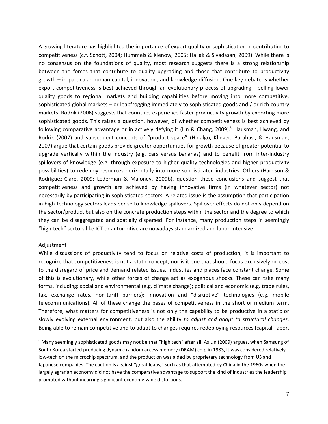A growing literature has highlighted the importance of export quality or sophistication in contributing to competitiveness (c.f. Schott, 2004; Hummels & Klenow, 2005; Hallak & Sivadasan, 2009). While there is no consensus on the foundations of quality, most research suggests there is a strong relationship between the forces that contribute to quality upgrading and those that contribute to productivity growth – in particular human capital, innovation, and knowledge diffusion. One key debate is whether export competitiveness is best achieved through an evolutionary process of upgrading – selling lower quality goods to regional markets and building capabilities before moving into more competitive, sophisticated global markets – or leapfrogging immediately to sophisticated goods and / or rich country markets. Rodrik (2006) suggests that countries experience faster productivity growth by exporting more sophisticated goods. This raises a question, however, of whether competitiveness is best achieved by following comparative advantage or in actively defying it (Lin & Chang, 2009).<sup>8</sup> Hausman, Hwang, and Rodrik (2007) and subsequent concepts of "product space" (Hidalgo, Klinger, Barabasi, & Hausman, 2007) argue that certain goods provide greater opportunities for growth because of greater potential to upgrade vertically within the industry (e.g. cars versus bananas) and to benefit from inter-industry spillovers of knowledge (e.g. through exposure to higher quality technologies and higher productivity possibilities) to redeploy resources horizontally into more sophisticated industries. Others (Harrison & Rodríguez‐Clare, 2009; Lederman & Maloney, 2009b), question these conclusions and suggest that competitiveness and growth are achieved by having innovative firms (in whatever sector) not necessarily by participating in sophisticated sectors. A related issue is the assumption that participation in high-technology sectors leads per se to knowledge spillovers. Spillover effects do not only depend on the sector/product but also on the concrete production steps within the sector and the degree to which they can be disaggregated and spatially dispersed. For instance, many production steps in seemingly "high‐tech" sectors like ICT or automotive are nowadays standardized and labor‐intensive.

#### Adjustment

While discussions of productivity tend to focus on relative costs of production, it is important to recognize that competitiveness is not a static concept; nor is it one that should focus exclusively on cost to the disregard of price and demand related issues. Industries and places face constant change. Some of this is evolutionary, while other forces of change act as exogenous shocks. These can take many forms, including: social and environmental (e.g. climate change); political and economic (e.g. trade rules, tax, exchange rates, non-tariff barriers); innovation and "disruptive" technologies (e.g. mobile telecommunications). All of these change the bases of competitiveness in the short or medium term. Therefore, what matters for competitiveness is not only the capability to be productive in a static or slowly evolving external environment, but also the ability *to adjust and adapt to structural changes*. Being able to remain competitive and to adapt to changes requires redeploying resources (capital, labor,

 $^8$  Many seemingly sophisticated goods may not be that "high tech" after all. As Lin (2009) argues, when Samsung of South Korea started producing dynamic random access memory (DRAM) chip in 1983, it was considered relatively low-tech on the microchip spectrum, and the production was aided by proprietary technology from US and Japanese companies. The caution is against "great leaps," such as that attempted by China in the 1960s when the largely agrarian economy did not have the comparative advantage to support the kind of industries the leadership promoted without incurring significant economy‐wide distortions.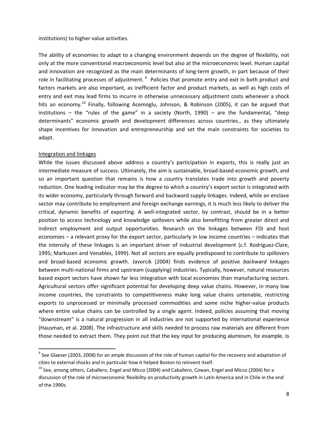#### institutions) to higher value activities.

The ability of economies to adapt to a changing environment depends on the degree of flexibility, not only at the more conventional macroeconomic level but also at the microeconomic level. Human capital and innovation are recognized as the main determinants of long-term growth, in part because of their role in facilitating processes of adjustment. <sup>9</sup> Policies that promote entry and exit in both product and factors markets are also important, as inefficient factor and product markets, as well as high costs of entry and exit may lead firms to incurre in otherwise unnecessary adjustment costs whenever a shock hits an economy.<sup>10</sup> Finally, following Acemoglu, Johnson, & Robinson (2005), it can be argued that institutions – the "rules of the game" in a society (North, 1990) – are the fundamental, "deep determinants" economic growth and development differences across countries., as they ultimately shape incentives for innovation and entrepreneurship and set the main constraints for societies to adapt.

#### Integration and linkages

While the issues discussed above address a country's participation in exports, this is really just an intermediate measure of success. Ultimately, the aim is sustainable, broad-based economic growth, and so an important question that remains is how a country translates trade into growth and poverty reduction. One leading indicator may be the degree to which a country's export sector is integrated with its wider economy, particularly through forward and backward supply linkages. Indeed, while an enclave sector may contribute to employment and foreign exchange earnings, it is much less likely to deliver the critical, dynamic benefits of exporting. A well‐integrated sector, by contrast, should be in a better position to access technology and knowledge spillovers while also benefitting from greater direct and indirect employment and output opportunities. Research on the linkages between FDI and host economies – a relevant proxy for the export sector, particularly in low income countries – indicates that the intensity of these linkages is an important driver of industrial development (c.f. Rodriguez‐Clare, 1995; Markusen and Venables, 1999). Not all sectors are equally predisposed to contribute to spillovers and broad‐based economic growth. Javorcik (2004) finds evidence of positive *backward* linkages between multi‐national firms and upstream (supplying) industries. Typically, however, natural resources based export sectors have shown far less integration with local economies than manufacturing sectors. Agricultural sectors offer significant potential for developing deep value chains. However, in many low income countries, the constraints to competitiveness make long value chains untenable, restricting exports to unprocessed or minimally processed commodities and some niche higher-value products where entire value chains can be controlled by a single agent. Indeed, policies assuming that moving "downstream" is a natural progression in all industries are not supported by international experience (Hausman, et al. 2008). The infrastructure and skills needed to process raw materials are different from those needed to extract them. They point out that the key input for producing aluminum, for example, is

 $9$  See Glaeser (2003, 2008) for an ample discussion of the role of human capital for the recovery and adaptation of cities to external shocks and in particular how it helped Boston to reinvent itself.

<sup>&</sup>lt;sup>10</sup> See, among others, Caballero, Engel and Micco (2004) and Caballero, Cowan, Engel and Micco (2004) for a discussion of the role of microeconomic flexibility on productivity growth in Latin America and in Chile in the end of the 1990s.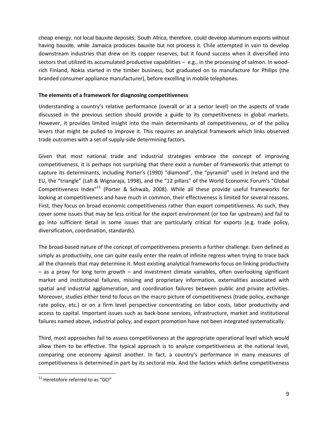cheap energy, not local bauxite deposits; South Africa, therefore, could develop aluminum exports without having bauxite, while Jamaica produces bauxite but not process it. Chile attempted in vain to develop downstream industries that drew on its copper reserves, but it found success when it diversified into sectors that utilized its accumulated productive capabilities – e.g., in the processing of salmon. In woodrich Finland, Nokia started in the timber business, but graduated on to manufacture for Philips (the branded consumer appliance manufacturer), before excelling in mobile telephones.

#### **The elements of a framework for diagnosing competitiveness**

Understanding a country's relative performance (overall or at a sector level) on the aspects of trade discussed in the previous section should provide a guide to its competitiveness in global markets. However, it provides limited insight into the main determinants of competitiveness, or of the policy levers that might be pulled to improve it. This requires an analytical framework which links observed trade outcomes with a set of supply‐side determining factors.

Given that most national trade and industrial strategies embrace the concept of improving competitiveness, it is perhaps not surprising that there exist a number of frameworks that attempt to capture its determinants, including Porter's (1990) "diamond", the "pyramid" used in Ireland and the EU, the "triangle" (Lall & Wignaraja, 1998), and the "12 pillars" of the World Economic Forum's "Global Competitiveness Index<sup>"11</sup> (Porter & Schwab, 2008). While all these provide useful frameworks for looking at competitiveness and have much in common, their effectiveness is limited for several reasons. First, they focus on broad economic competitiveness rather than export competitiveness. As such, they cover some issues that may be less critical for the export environment (or too far upstream) and fail to go into sufficient detail in some issues that are particularly critical for exports (e.g. trade policy, diversification, coordination, standards).

The broad‐based nature of the concept of competitiveness presents a further challenge. Even defined as simply as productivity, one can quite easily enter the realm of infinite regress when trying to trace back all the channels that may determine it. Most existing analytical frameworks focus on linking productivity – as a proxy for long term growth – and investment climate variables, often overlooking significant market and institutional failures, missing and proprietary information, externalities associated with spatial and industrial agglomeration, and coordination failures between public and private activities. Moreover, studies either tend to focus on the macro picture of competitiveness (trade policy, exchange rate policy, etc.) or on a firm level perspective concentrating on labor costs, labor productivity and access to capital. Important issues such as back‐bone services, infrastructure, market and institutional failures named above, industrial policy, and export promotion have not been integrated systematically.

Third, most approaches fail to assess competitiveness at the appropriate operational level which would allow them to be effective. The typical approach is to analyze competitiveness at the national level, comparing one economy against another. In fact, a country's performance in many measures of competitiveness is determined in part by its sectoral mix. And the factors which define competitiveness

  $11$  Heretofore referred to as "GCI"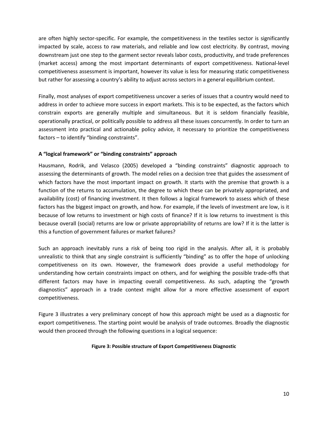are often highly sector-specific. For example, the competitiveness in the textiles sector is significantly impacted by scale, access to raw materials, and reliable and low cost electricity. By contrast, moving downstream just one step to the garment sector reveals labor costs, productivity, and trade preferences (market access) among the most important determinants of export competitiveness. National‐level competitiveness assessment is important, however its value is less for measuring static competitiveness but rather for assessing a country's ability to adjust across sectors in a general equilibrium context.

Finally, most analyses of export competitiveness uncover a series of issues that a country would need to address in order to achieve more success in export markets. This is to be expected, as the factors which constrain exports are generally multiple and simultaneous. But it is seldom financially feasible, operationally practical, or politically possible to address all these issues concurrently. In order to turn an assessment into practical and actionable policy advice, it necessary to prioritize the competitiveness factors – to identify "binding constraints".

# **A "logical framework" or "binding constraints" approach**

Hausmann, Rodrik, and Velasco (2005) developed a "binding constraints" diagnostic approach to assessing the determinants of growth. The model relies on a decision tree that guides the assessment of which factors have the most important impact on growth. It starts with the premise that growth is a function of the returns to accumulation, the degree to which these can be privately appropriated, and availability (cost) of financing investment. It then follows a logical framework to assess which of these factors has the biggest impact on growth, and how. For example, if the levels of investment are low, is it because of low returns to investment or high costs of finance? If it is low returns to investment is this because overall (social) returns are low or private appropriability of returns are low? If it is the latter is this a function of government failures or market failures?

Such an approach inevitably runs a risk of being too rigid in the analysis. After all, it is probably unrealistic to think that any single constraint is sufficiently "binding" as to offer the hope of unlocking competitiveness on its own. However, the framework does provide a useful methodology for understanding how certain constraints impact on others, and for weighing the possible trade‐offs that different factors may have in impacting overall competitiveness. As such, adapting the "growth diagnostics" approach in a trade context might allow for a more effective assessment of export competitiveness.

Figure 3 illustrates a very preliminary concept of how this approach might be used as a diagnostic for export competitiveness. The starting point would be analysis of trade outcomes. Broadly the diagnostic would then proceed through the following questions in a logical sequence:

#### **Figure 3: Possible structure of Export Competitiveness Diagnostic**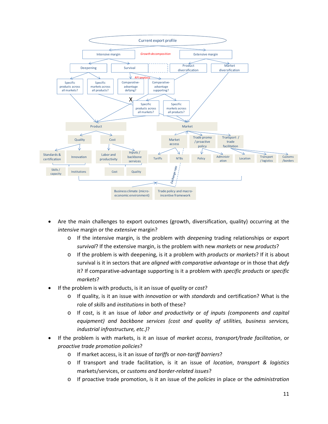

- Are the main challenges to export outcomes (growth, diversification, quality) occurring at the *intensive* margin or the *extensive* margin?
	- o If the intensive margin, is the problem with *deepening* trading relationships or export *survival*? If the extensive margin, is the problem with new *markets* or new *products*?
	- o If the problem is with deepening, is it a problem with *products* or *markets*? If it is about survival is it in sectors that are *aligned with comparative advantage* or in those that *defy* it? If comparative‐advantage supporting is it a problem with *specific products* or *specific markets*?
- If the problem is with products, is it an issue of *quality* or *cost*?
	- o If quality, is it an issue with *innovation* or with *standards* and certification? What is the role of *skills* and *institutions* in both of these?
	- o If cost, is it an issue of *labor and productivity* or *of inputs (components and capital equipment) and backbone services (cost and quality of utilities, business services, industrial infrastructure, etc.)*?
- If the problem is with markets, is it an issue of *market access*, *transport/trade facilitation*, or *proactive trade promotion policies*?
	- o If market access, is it an issue of *tariffs* or *non‐tariff barriers*?
	- o If transport and trade facilitation, is it an issue of *location*, *transport & logistics* markets/services, or *customs and border‐related issues*?
	- o If proactive trade promotion, is it an issue of the *policies* in place or the *administration*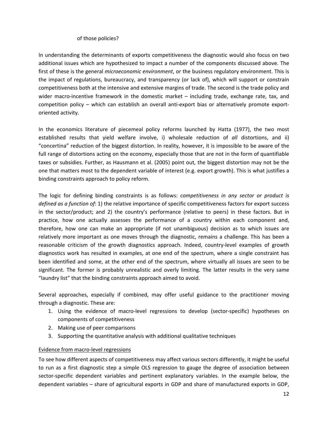# of those policies?

In understanding the determinants of exports competitiveness the diagnostic would also focus on two additional issues which are hypothesized to impact a number of the components discussed above. The first of these is the general *microeconomic environment*, or the business regulatory environment. This is the impact of regulations, bureaucracy, and transparency (or lack of), which will support or constrain competitiveness both at the intensive and extensive margins of trade. The second is the trade policy and wider macro-incentive framework in the domestic market  $-$  including trade, exchange rate, tax, and competition policy – which can establish an overall anti-export bias or alternatively promote exportoriented activity.

In the economics literature of piecemeal policy reforms launched by Hatta (1977), the two most established results that yield welfare involve, i) wholesale reduction of *all* distortions, and ii) "concertina" reduction of the biggest distortion. In reality, however, it is impossible to be aware of the full range of distortions acting on the economy, especially those that are not in the form of quantifiable taxes or subsidies. Further, as Hausmann et al. (2005) point out, the biggest distortion may not be the one that matters most to the dependent variable of interest (e.g. export growth). This is what justifies a binding constraints approach to policy reform.

The logic for defining binding constraints is as follows: *competitiveness in any sector or product is defined as a function of*: 1) the relative importance of specific competitiveness factors for export success in the sector/product; and 2) the country's performance (relative to peers) in these factors. But in practice, how one actually assesses the performance of a country within each component and, therefore, how one can make an appropriate (if not unambiguous) decision as to which issues are relatively more important as one moves through the diagnostic, remains a challenge. This has been a reasonable criticism of the growth diagnostics approach. Indeed, country‐level examples of growth diagnostics work has resulted in examples, at one end of the spectrum, where a single constraint has been identified and some, at the other end of the spectrum, where virtually all issues are seen to be significant. The former is probably unrealistic and overly limiting. The latter results in the very same "laundry list" that the binding constraints approach aimed to avoid.

Several approaches, especially if combined, may offer useful guidance to the practitioner moving through a diagnostic. These are:

- 1. Using the evidence of macro‐level regressions to develop (sector‐specific) hypotheses on components of competitiveness
- 2. Making use of peer comparisons
- 3. Supporting the quantitative analysis with additional qualitative techniques

# Evidence from macro‐level regressions

To see how different aspects of competitiveness may affect various sectors differently, it might be useful to run as a first diagnostic step a simple OLS regression to gauge the degree of association between sector-specific dependent variables and pertinent explanatory variables. In the example below, the dependent variables – share of agricultural exports in GDP and share of manufactured exports in GDP,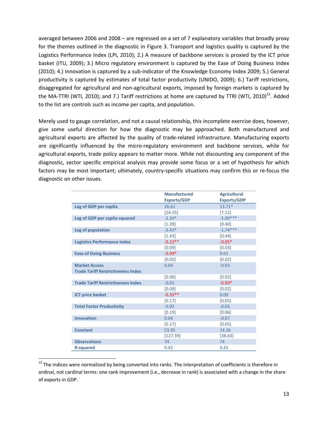averaged between 2006 and 2008 – are regressed on a set of 7 explanatory variables that broadly proxy for the themes outlined in the diagnostic in Figure 3. Transport and logistics quality is captured by the Logistics Performance Index (LPI, 2010); 2.) A measure of backbone services is proxied by the ICT price basket (ITU, 2009); 3.) Micro regulatory environment is captured by the Ease of Doing Business Index (2010); 4.) Innovation is captured by a sub‐indicator of the Knowledge Economy Index 2009; 5.) General productivity is captured by estimates of total factor productivity (UNIDO, 2009); 6.) Tariff restrictions, disaggregated for agricultural and non‐agricultural exports, imposed by foreign markets is captured by the MA-TTRI (WTI, 2010); and 7.) Tariff restrictions at home are captured by TTRI (WTI, 2010)<sup>12</sup>. Added to the list are controls such as income per capita, and population.

Merely used to gauge correlation, and not a causal relationship, this incomplete exercise does, however, give some useful direction for how the diagnostic may be approached. Both manufactured and agricultural exports are affected by the quality of trade‐related infrastructure. Manufacturing exports are significantly influenced by the micro-regulatory environment and backbone services, while for agricultural exports, trade policy appears to matter more. While not discounting any component of the diagnostic, sector specific empirical analysis may provide some focus or a set of hypothesis for which factors may be most important; ultimately, country-specific situations may confirm this or re-focus the diagnostic on other issues.

|                                           | <b>Manufactured</b> | <b>Agricultural</b> |
|-------------------------------------------|---------------------|---------------------|
|                                           | <b>Exports/GDP</b>  | <b>Exports/GDP</b>  |
| Log of GDP per capita                     | 26.61               | $13.71*$            |
|                                           | [24.33]             | [7.12]              |
| Log of GDP per capita squared             | $-2.34*$            | $-1.09***$          |
|                                           | [1.39]              | [0.40]              |
| Log of population                         | $-2.43*$            | $-1.74***$          |
|                                           | [1.43]              | [0.44]              |
| <b>Logistics Performance Index</b>        | $-0.23**$           | $-0.05*$            |
|                                           | [0.09]              | [0.03]              |
| <b>Ease of Doing Business</b>             | $-0.09*$            | 0.01                |
|                                           | [0.05]              | [0.02]              |
| <b>Market Access</b>                      | 0.04                | $-0.03$             |
| <b>Trade Tariff Restrictiveness Index</b> |                     |                     |
|                                           | [0.06]              | [0.02]              |
| <b>Trade Tariff Restrictiveness Index</b> | $-0.01$             | $-0.03*$            |
|                                           | [0.09]              | [0.02]              |
| <b>ICT price basket</b>                   | $-0.35**$           | 0.00                |
|                                           | [0.17]              | [0.05]              |
| <b>Total Factor Productivity</b>          | $-0.02$             | $-0.03$             |
|                                           | [0.19]              | [0.06]              |
| <b>Innovation</b>                         | 0.04                | $-0.07$             |
|                                           | [0.17]              | [0.05]              |
| <b>Constant</b>                           | 53.95               | 14.26               |
|                                           | [127.39]            | [38.63]             |
| <b>Observations</b>                       | 74                  | 74                  |
| <b>R-squared</b>                          | 0.42                | 0.42                |

<sup>&</sup>lt;sup>12</sup> The indices were normalized by being converted into ranks. The interpretation of coefficients is therefore in ordinal, not cardinal terms: one rank improvement (i.e., decrease in rank) is associated with a change in the share of exports in GDP.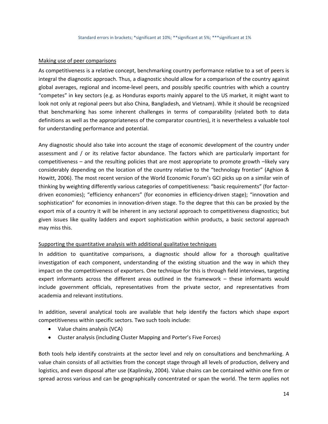#### Making use of peer comparisons

As competitiveness is a relative concept, benchmarking country performance relative to a set of peers is integral the diagnostic approach. Thus, a diagnostic should allow for a comparison of the country against global averages, regional and income‐level peers, and possibly specific countries with which a country "competes" in key sectors (e.g. as Honduras exports mainly apparel to the US market, it might want to look not only at regional peers but also China, Bangladesh, and Vietnam). While it should be recognized that benchmarking has some inherent challenges in terms of comparability (related both to data definitions as well as the appropriateness of the comparator countries), it is nevertheless a valuable tool for understanding performance and potential.

Any diagnostic should also take into account the stage of economic development of the country under assessment and / or its relative factor abundance. The factors which are particularly important for competitiveness – and the resulting policies that are most appropriate to promote growth –likely vary considerably depending on the location of the country relative to the "technology frontier" (Aghion & Howitt, 2006). The most recent version of the World Economic Forum's GCI picks up on a similar vein of thinking by weighting differently various categories of competitiveness: "basic requirements" (for factor‐ driven economies); "efficiency enhancers" (for economies in efficiency‐driven stage); "innovation and sophistication" for economies in innovation-driven stage. To the degree that this can be proxied by the export mix of a country it will be inherent in any sectoral approach to competitiveness diagnostics; but given issues like quality ladders and export sophistication within products, a basic sectoral approach may miss this.

#### Supporting the quantitative analysis with additional qualitative techniques

In addition to quantitative comparisons, a diagnostic should allow for a thorough qualitative investigation of each component, understanding of the existing situation and the way in which they impact on the competitiveness of exporters. One technique for this is through field interviews, targeting expert informants across the different areas outlined in the framework – these informants would include government officials, representatives from the private sector, and representatives from academia and relevant institutions.

In addition, several analytical tools are available that help identify the factors which shape export competitiveness within specific sectors. Two such tools include:

- Value chains analysis (VCA)
- Cluster analysis (including Cluster Mapping and Porter's Five Forces)

Both tools help identify constraints at the sector level and rely on consultations and benchmarking. A value chain consists of all activities from the concept stage through all levels of production, delivery and logistics, and even disposal after use (Kaplinsky, 2004). Value chains can be contained within one firm or spread across various and can be geographically concentrated or span the world. The term applies not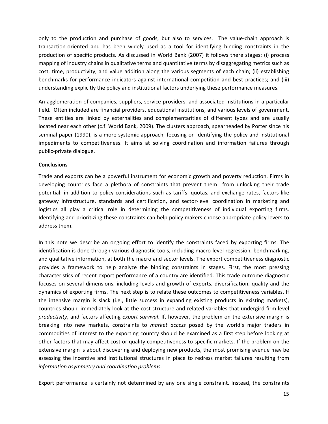only to the production and purchase of goods, but also to services. The value‐chain approach is transaction‐oriented and has been widely used as a tool for identifying binding constraints in the production of specific products. As discussed in World Bank (2007) it follows there stages: (i) process mapping of industry chains in qualitative terms and quantitative terms by disaggregating metrics such as cost, time, productivity, and value addition along the various segments of each chain; (ii) establishing benchmarks for performance indicators against international competition and best practices; and (iii) understanding explicitly the policy and institutional factors underlying these performance measures.

An agglomeration of companies, suppliers, service providers, and associated institutions in a particular field. Often included are financial providers, educational institutions, and various levels of government. These entities are linked by externalities and complementarities of different types and are usually located near each other (c.f. World Bank, 2009). The clusters approach, spearheaded by Porter since his seminal paper (1990), is a more systemic approach, focusing on identifying the policy and institutional impediments to competitiveness. It aims at solving coordination and information failures through public‐private dialogue.

# **Conclusions**

Trade and exports can be a powerful instrument for economic growth and poverty reduction. Firms in developing countries face a plethora of constraints that prevent them from unlocking their trade potential: in addition to policy considerations such as tariffs, quotas, and exchange rates, factors like gateway infrastructure, standards and certification, and sector‐level coordination in marketing and logistics all play a critical role in determining the competitiveness of individual exporting firms. Identifying and prioritizing these constraints can help policy makers choose appropriate policy levers to address them.

In this note we describe an ongoing effort to identify the constraints faced by exporting firms. The identification is done through various diagnostic tools, including macro-level regression, benchmarking, and qualitative information, at both the macro and sector levels. The export competitiveness diagnostic provides a framework to help analyze the binding constraints in stages. First, the most pressing characteristics of recent export performance of a country are identified. This trade outcome diagnostic focuses on several dimensions, including levels and growth of exports, diversification, quality and the dynamics of exporting firms. The next step is to relate these outcomes to competitiveness variables. If the intensive margin is slack (i.e., little success in expanding existing products in existing markets), countries should immediately look at the cost structure and related variables that undergird firm‐level *productivity*, and factors affecting *export survival*. If, however, the problem on the extensive margin is breaking into new markets, constraints to *market access* posed by the world's major traders in commodities of interest to the exporting country should be examined as a first step before looking at other factors that may affect cost or quality competitiveness to specific markets. If the problem on the extensive margin is about discovering and deploying new products, the most promising avenue may be assessing the incentive and institutional structures in place to redress market failures resulting from *information asymmetry and coordination problems*.

Export performance is certainly not determined by any one single constraint. Instead, the constraints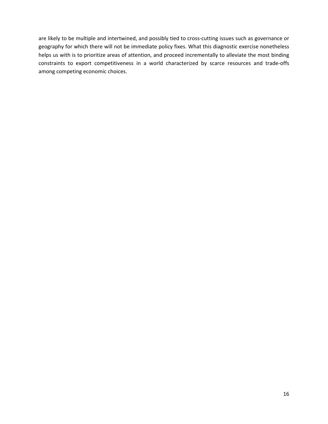are likely to be multiple and intertwined, and possibly tied to cross-cutting issues such as governance or geography for which there will not be immediate policy fixes. What this diagnostic exercise nonetheless helps us with is to prioritize areas of attention, and proceed incrementally to alleviate the most binding constraints to export competitiveness in a world characterized by scarce resources and trade‐offs among competing economic choices.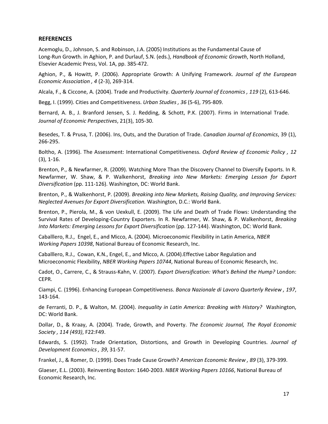#### **REFERENCES**

Acemoglu, D., Johnson, S. and Robinson, J.A. (2005) Institutions as the Fundamental Cause of Long‐Run Growth. in Aghion, P. and Durlauf, S.N. (eds.), *Handbook of Economic Growth*, North Holland, Elsevier Academic Press, Vol. 1A, pp. 385‐472.

Aghion, P., & Howitt, P. (2006). Appropriate Growth: A Unifying Framework. *Journal of the European Economic Association , 4* (2‐3), 269‐314.

Alcala, F., & Ciccone, A. (2004). Trade and Productivity. *Quarterly Journal of Economics , 119* (2), 613‐646.

Begg, I. (1999). Cities and Competitiveness. *Urban Studies , 36* (5‐6), 795‐809.

Bernard, A. B., J. Branford Jensen, S. J. Redding, & Schott, P.K. (2007). Firms in International Trade. *Journal of Economic Perspectives*, 21(3), 105‐30.

Besedes, T. & Prusa, T. (2006). Ins, Outs, and the Duration of Trade. *Canadian Journal of Economics*, 39 (1), 266‐295.

Boltho, A. (1996). The Assessment: International Competitiveness. *Oxford Review of Economic Policy , 12* (3), 1‐16.

Brenton, P., & Newfarmer, R. (2009). Watching More Than the Discovery Channel to Diversify Exports. In R. Newfarmer, W. Shaw, & P. Walkenhorst, *Breaking into New Markets: Emerging Lesson for Export Diversification* (pp. 111‐126). Washington, DC: World Bank.

Brenton, P., & Walkenhorst, P. (2009). *Breaking into New Markets, Raising Quality, and Improving Services: Neglected Avenues for Export Diversification.* Washington, D.C.: World Bank.

Brenton, P., Pierola, M., & von Uexkull, E. (2009). The Life and Death of Trade Flows: Understanding the Survival Rates of Developing‐Country Exporters. In R. Newfarmer, W. Shaw, & P. Walkenhorst, *Breaking Into Markets: Emerging Lessons for Export Diversification* (pp. 127‐144). Washington, DC: World Bank.

Caballlero, R.J., Engel, E., and Micco, A. (2004). Microeconomic Flexibility in Latin America, *NBER Working Papers 10398*, National Bureau of Economic Research, Inc.

Caballlero, R.J., Cowan, K.N., Engel, E., and Micco, A. (2004).Effective Labor Regulation and Microeconomic Flexibility, *NBER Working Papers 10744*, National Bureau of Economic Research, Inc.

Cadot, O., Carrere, C., & Strauss‐Kahn, V. (2007). *Export Diversification: What's Behind the Hump?* London: CEPR.

Ciampi, C. (1996). Enhancing European Competitiveness. *Banca Nazionale di Lavoro Quarterly Review , 197*, 143‐164.

de Ferranti, D. P., & Walton, M. (2004). *Inequality in Latin America: Breaking with History?* Washington, DC: World Bank.

Dollar, D., & Kraay, A. (2004). Trade, Growth, and Poverty. *The Economic Journal, The Royal Economic Society , 114 (493)*, F22:F49.

Edwards, S. (1992). Trade Orientation, Distortions, and Growth in Developing Countries. *Journal of Development Economics , 39*, 31‐57.

Frankel, J., & Romer, D. (1999). Does Trade Cause Growth? *American Economic Review , 89* (3), 379‐399.

Glaeser, E.L. (2003). Reinventing Boston: 1640‐2003. *NBER Working Papers 10166*, National Bureau of Economic Research, Inc.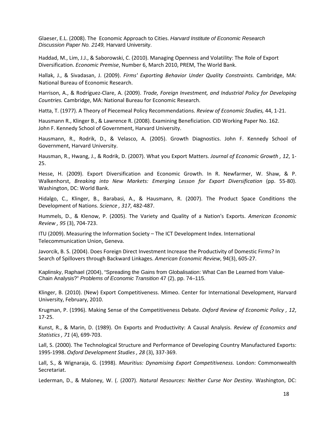Glaeser, E.L. (2008). The Economic Approach to Cities. *Harvard Institute of Economic Research Discussion Paper No. 2149,* Harvard University.

Haddad, M., Lim, J.J., & Saborowski, C. (2010). Managing Openness and Volatility: The Role of Export Diversification. *Economic Premise*, Number 6, March 2010, PREM, The World Bank.

Hallak, J., & Sivadasan, J. (2009). *Firms' Exporting Behavior Under Quality Constraints.* Cambridge, MA: National Bureau of Economic Research.

Harrison, A., & Rodríguez‐Clare, A. (2009). *Trade, Foreign Investment, and Industrial Policy for Developing Countries.* Cambridge, MA: National Bureau for Economic Research.

Hatta, T. (1977). A Theory of Piecemeal Policy Recommendations. *Review of Economic Studies,* 44, 1‐21.

Hausmann R., Klinger B., & Lawrence R. (2008). Examining Beneficiation. CID Working Paper No. 162. John F. Kennedy School of Government, Harvard University.

Hausmann, R., Rodrik, D., & Velasco, A. (2005). Growth Diagnostics. John F. Kennedy School of Government, Harvard University.

Hausman, R., Hwang, J., & Rodrik, D. (2007). What you Export Matters. *Journal of Economic Growth , 12*, 1‐ 25.

Hesse, H. (2009). Export Diversification and Economic Growth. In R. Newfarmer, W. Shaw, & P. Walkenhorst, *Breaking into New Markets: Emerging Lesson for Export Diversification* (pp. 55‐80). Washington, DC: World Bank.

Hidalgo, C., Klinger, B., Barabasi, A., & Hausmann, R. (2007). The Product Space Conditions the Development of Nations. *Science , 317*, 482‐487.

Hummels, D., & Klenow, P. (2005). The Variety and Quality of a Nation's Exports. *American Economic Review , 95* (3), 704‐723.

ITU (2009). Measuring the Information Society – The ICT Development Index. International Telecommunication Union, Geneva.

Javorcik, B. S. (2004). Does Foreign Direct Investment Increase the Productivity of Domestic Firms? In Search of Spillovers through Backward Linkages. *American Economic Review*, 94(3), 605‐27.

Kaplinsky, Raphael (2004), "Spreading the Gains from Globalisation: What Can Be Learned from Value-Chain Analysis?" *Problems of Economic Transition* 47 (2), pp. 74–115.

Klinger, B. (2010). (New) Export Competitiveness. Mimeo. Center for International Development, Harvard University, February, 2010.

Krugman, P. (1996). Making Sense of the Competitiveness Debate. *Oxford Review of Economic Policy , 12*, 17‐25.

Kunst, R., & Marin, D. (1989). On Exports and Productivity: A Causal Analysis. *Review of Economics and Statistics , 71* (4), 699‐703.

Lall, S. (2000). The Technological Structure and Performance of Developing Country Manufactured Exports: 1995‐1998. *Oxford Development Studies , 28* (3), 337‐369.

Lall, S., & Wignaraja, G. (1998). *Mauritius: Dynamising Export Competitiveness.* London: Commonwealth Secretariat.

Lederman, D., & Maloney, W. (. (2007). *Natural Resources: Neither Curse Nor Destiny.* Washington, DC: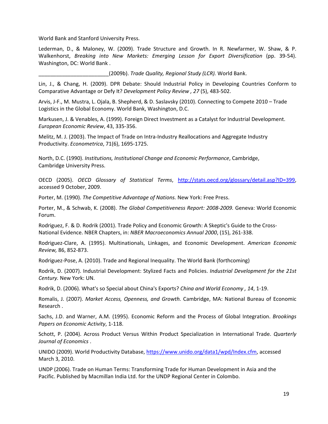World Bank and Stanford University Press.

Lederman, D., & Maloney, W. (2009). Trade Structure and Growth. In R. Newfarmer, W. Shaw, & P. Walkenhorst, *Breaking into New Markets: Emerging Lesson for Export Diversification* (pp. 39‐54). Washington, DC: World Bank .

\_\_\_\_\_\_\_\_\_\_\_\_\_\_\_\_\_\_\_\_\_\_\_\_(2009b). *Trade Quality, Regional Study (LCR).* World Bank.

Lin, J., & Chang, H. (2009). DPR Debate: Should Industrial Policy in Developing Countries Conform to Comparative Advantage or Defy It? *Development Policy Review , 27* (5), 483‐502.

Arvis, J‐F., M. Mustra, L. Ojala, B. Shepherd, & D. Saslavsky (2010). Connecting to Compete 2010 – Trade Logistics in the Global Economy. World Bank, Washington, D.C.

Markusen, J. & Venables, A. (1999). Foreign Direct Investment as a Catalyst for Industrial Development. *European Economic Review*, 43, 335‐356.

Melitz, M. J. (2003). The Impact of Trade on Intra-Industry Reallocations and Aggregate Industry Productivity. *Econometrica*, 71(6), 1695‐1725.

North, D.C. (1990). *Institutions, Institutional Change and Economic Performance*, Cambridge, Cambridge University Press.

OECD (2005). *OECD Glossary of Statistical Terms*, http://stats.oecd.org/glossary/detail.asp?ID=399, accessed 9 October, 2009.

Porter, M. (1990). *The Competitive Advantage of Nations.* New York: Free Press.

Porter, M., & Schwab, K. (2008). *The Global Competitiveness Report: 2008‐2009.* Geneva: World Economic Forum.

Rodriguez, F. & D. Rodrik (2001). Trade Policy and Economic Growth: A Skeptic's Guide to the Cross‐ National Evidence. NBER Chapters, in: *NBER Macroeconomics Annual 2000*, (15), 261‐338.

Rodriguez‐Clare, A. (1995). Multinationals, Linkages, and Economic Development. *American Economic Review,* 86, 852‐873.

Rodriguez‐Pose, A. (2010). Trade and Regional Inequality. The World Bank (forthcoming)

Rodrik, D. (2007). Industrial Development: Stylized Facts and Policies. *Industrial Development for the 21st Century.* New York: UN.

Rodrik, D. (2006). What's so Special about China's Exports? *China and World Economy , 14*, 1‐19.

Romalis, J. (2007). *Market Access, Openness, and Growth.* Cambridge, MA: National Bureau of Economic Research .

Sachs, J.D. and Warner, A.M. (1995). Economic Reform and the Process of Global Integration. *Brookings Papers on Economic Activity*, 1‐118.

Schott, P. (2004). Across Product Versus Within Product Specialization in International Trade. *Quarterly Journal of Economics* .

UNIDO (2009). World Productivity Database, https://www.unido.org/data1/wpd/Index.cfm, accessed March 3, 2010.

UNDP (2006). Trade on Human Terms: Transforming Trade for Human Development in Asia and the Pacific. Published by Macmillan India Ltd. for the UNDP Regional Center in Colombo.